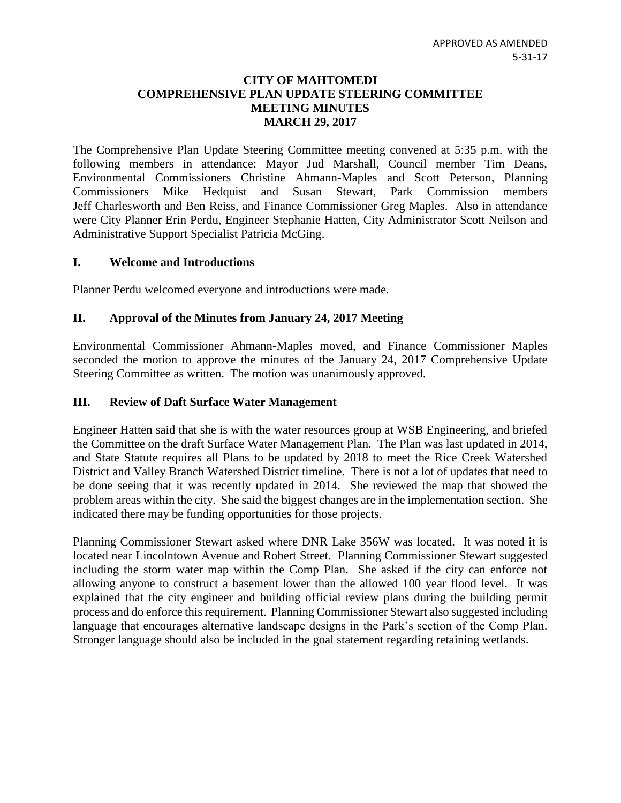#### **CITY OF MAHTOMEDI COMPREHENSIVE PLAN UPDATE STEERING COMMITTEE MEETING MINUTES MARCH 29, 2017**

The Comprehensive Plan Update Steering Committee meeting convened at 5:35 p.m. with the following members in attendance: Mayor Jud Marshall, Council member Tim Deans, Environmental Commissioners Christine Ahmann-Maples and Scott Peterson, Planning Commissioners Mike Hedquist and Susan Stewart, Park Commission members Jeff Charlesworth and Ben Reiss, and Finance Commissioner Greg Maples. Also in attendance were City Planner Erin Perdu, Engineer Stephanie Hatten, City Administrator Scott Neilson and Administrative Support Specialist Patricia McGing.

## **I. Welcome and Introductions**

Planner Perdu welcomed everyone and introductions were made.

# **II. Approval of the Minutes from January 24, 2017 Meeting**

Environmental Commissioner Ahmann-Maples moved, and Finance Commissioner Maples seconded the motion to approve the minutes of the January 24, 2017 Comprehensive Update Steering Committee as written. The motion was unanimously approved.

## **III. Review of Daft Surface Water Management**

Engineer Hatten said that she is with the water resources group at WSB Engineering, and briefed the Committee on the draft Surface Water Management Plan. The Plan was last updated in 2014, and State Statute requires all Plans to be updated by 2018 to meet the Rice Creek Watershed District and Valley Branch Watershed District timeline. There is not a lot of updates that need to be done seeing that it was recently updated in 2014. She reviewed the map that showed the problem areas within the city. She said the biggest changes are in the implementation section. She indicated there may be funding opportunities for those projects.

Planning Commissioner Stewart asked where DNR Lake 356W was located. It was noted it is located near Lincolntown Avenue and Robert Street. Planning Commissioner Stewart suggested including the storm water map within the Comp Plan. She asked if the city can enforce not allowing anyone to construct a basement lower than the allowed 100 year flood level. It was explained that the city engineer and building official review plans during the building permit process and do enforce this requirement. Planning Commissioner Stewart also suggested including language that encourages alternative landscape designs in the Park's section of the Comp Plan. Stronger language should also be included in the goal statement regarding retaining wetlands.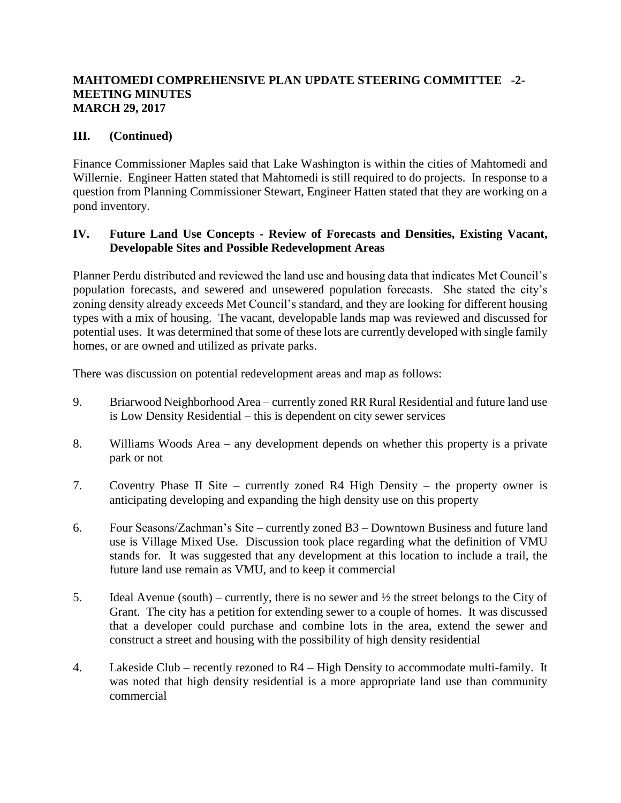## **MAHTOMEDI COMPREHENSIVE PLAN UPDATE STEERING COMMITTEE -2- MEETING MINUTES MARCH 29, 2017**

# **III. (Continued)**

Finance Commissioner Maples said that Lake Washington is within the cities of Mahtomedi and Willernie. Engineer Hatten stated that Mahtomedi is still required to do projects. In response to a question from Planning Commissioner Stewart, Engineer Hatten stated that they are working on a pond inventory.

# **IV. Future Land Use Concepts - Review of Forecasts and Densities, Existing Vacant, Developable Sites and Possible Redevelopment Areas**

Planner Perdu distributed and reviewed the land use and housing data that indicates Met Council's population forecasts, and sewered and unsewered population forecasts. She stated the city's zoning density already exceeds Met Council's standard, and they are looking for different housing types with a mix of housing. The vacant, developable lands map was reviewed and discussed for potential uses. It was determined that some of these lots are currently developed with single family homes, or are owned and utilized as private parks.

There was discussion on potential redevelopment areas and map as follows:

- 9. Briarwood Neighborhood Area currently zoned RR Rural Residential and future land use is Low Density Residential – this is dependent on city sewer services
- 8. Williams Woods Area any development depends on whether this property is a private park or not
- 7. Coventry Phase II Site currently zoned R4 High Density the property owner is anticipating developing and expanding the high density use on this property
- 6. Four Seasons/Zachman's Site currently zoned B3 Downtown Business and future land use is Village Mixed Use. Discussion took place regarding what the definition of VMU stands for. It was suggested that any development at this location to include a trail, the future land use remain as VMU, and to keep it commercial
- 5. Ideal Avenue (south) currently, there is no sewer and  $\frac{1}{2}$  the street belongs to the City of Grant. The city has a petition for extending sewer to a couple of homes. It was discussed that a developer could purchase and combine lots in the area, extend the sewer and construct a street and housing with the possibility of high density residential
- 4. Lakeside Club recently rezoned to R4 High Density to accommodate multi-family. It was noted that high density residential is a more appropriate land use than community commercial